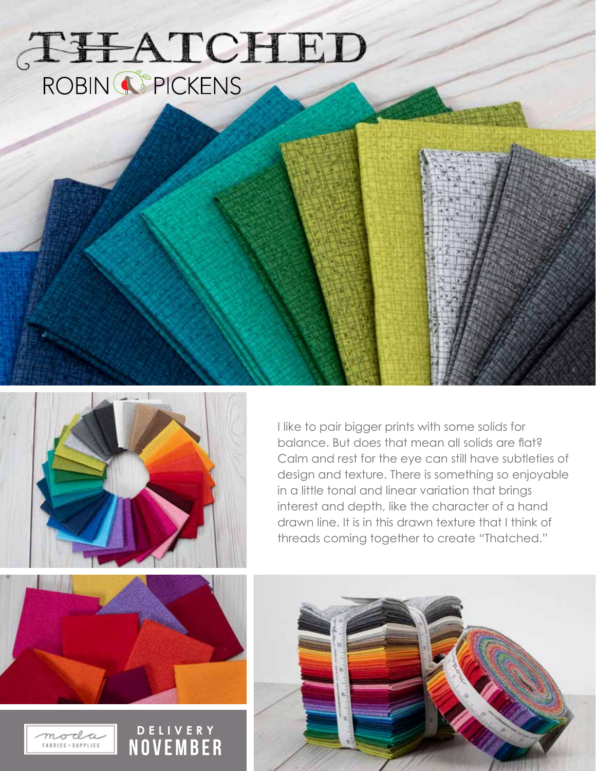## ROBIN WPICKENS



I like to pair bigger prints with some solids for balance. But does that mean all solids are flat? Calm and rest for the eye can still have subtleties of design and texture. There is something so enjoyable in a little tonal and linear variation that brings interest and depth, like the character of a hand drawn line. It is in this drawn texture that I think of threads coming together to create "Thatched."



**DELIVERY NOVEMBER** 



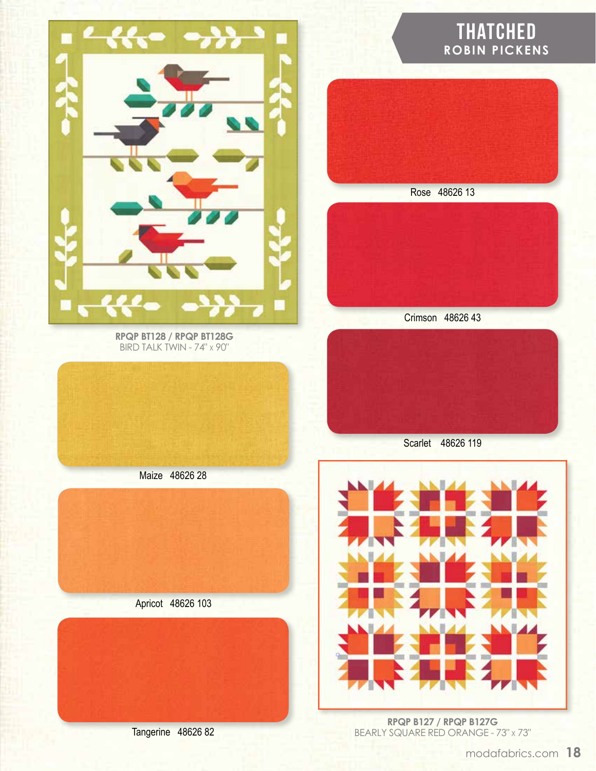

**RPQP BT128 / RPQP BT128G** BIRD TALK TWIN - 74" <sup>x</sup> 90"

## THATCHED **ROBIN PICKENS**



Rose 48626 13



Crimson 48626 43



Maize 48626 28



Apricot 48626 103



Tangerine 48626 82



Scarlet 48626 119



**RPQP B127 / RPQP B127G** BEARLY SQUARE RED ORANGE - 73" <sup>x</sup> 73"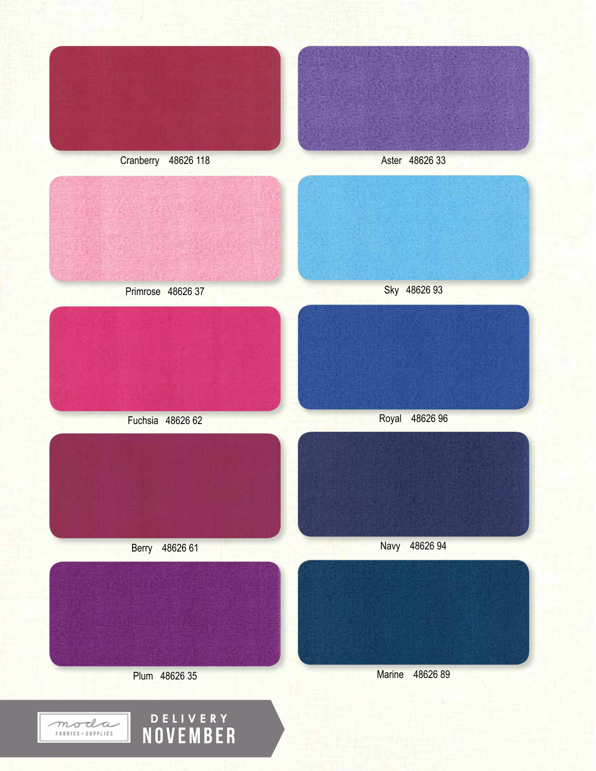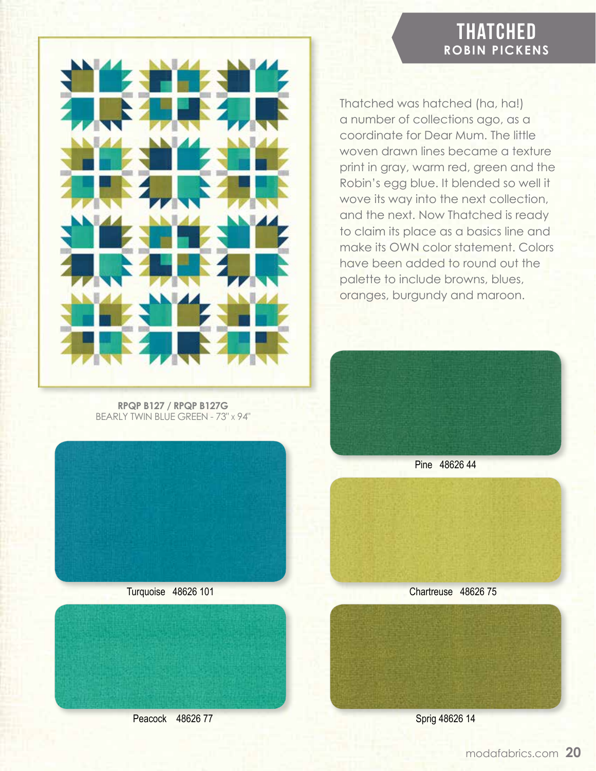## **THATCHED ROBIN PICKENS**

**RPQP B127 / RPQP B127G** BEARLY TWIN BLUE GREEN - 73" <sup>x</sup> 94"





Peacock 48626 77

Thatched was hatched (ha, ha!) a number of collections ago, as a coordinate for Dear Mum. The little woven drawn lines became a texture print in gray, warm red, green and the Robin's egg blue. It blended so well it wove its way into the next collection, and the next. Now Thatched is ready to claim its place as a basics line and make its OWN color statement. Colors have been added to round out the palette to include browns, blues, oranges, burgundy and maroon.



Pine 48626 44





Sprig 48626 14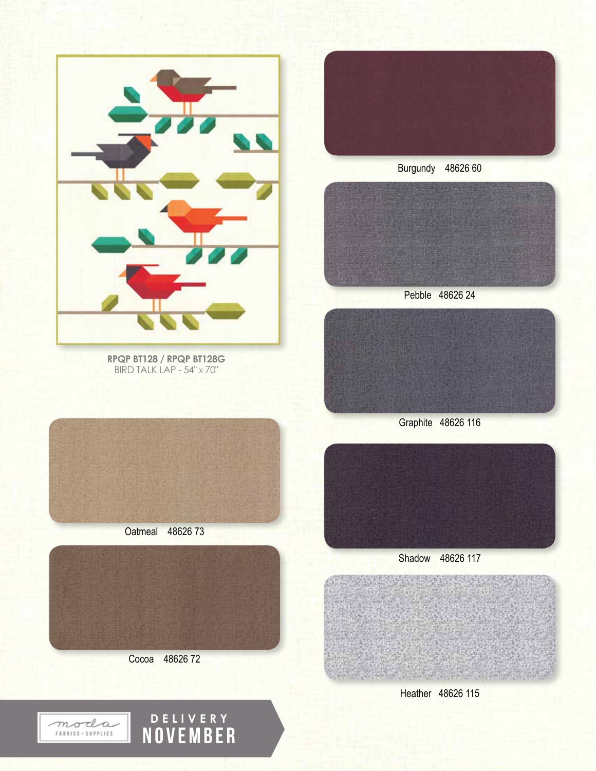